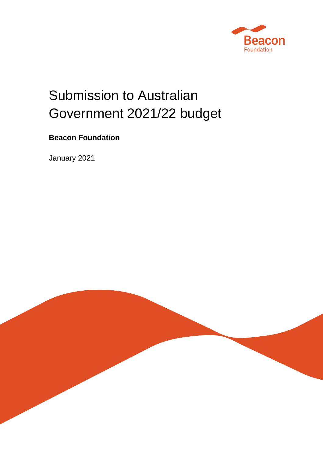

# Submission to Australian Government 2021/22 budget

## **Beacon Foundation**

January 2021

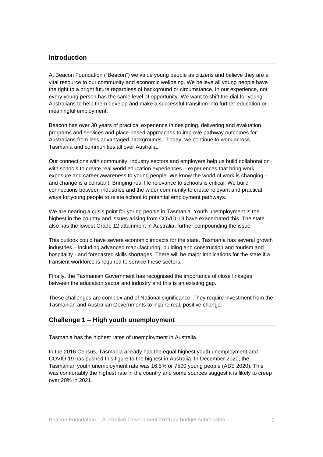#### **Introduction**

At Beacon Foundation ("Beacon") we value young people as citizens and believe they are a vital resource to our community and economic wellbeing. We believe all young people have the right to a bright future regardless of background or circumstance. In our experience, not every young person has the same level of opportunity. We want to shift the dial for young Australians to help them develop and make a successful transition into further education or meaningful employment.

Beacon has over 30 years of practical experience in designing, delivering and evaluation programs and services and place-based approaches to improve pathway outcomes for Australians from less advantaged backgrounds. Today, we continue to work across Tasmania and communities all over Australia.

Our connections with community, industry sectors and employers help us build collaboration with schools to create real world education experiences – experiences that bring work exposure and career awareness to young people. We know the world of work is changing – and change is a constant. Bringing real life relevance to schools is critical. We build connections between industries and the wider community to create relevant and practical ways for young people to relate school to potential employment pathways.

We are nearing a crisis point for young people in Tasmania. Youth unemployment is the highest in the country and issues arising from COVID-19 have exacerbated this. The state also has the lowest Grade 12 attainment in Australia, further compounding the issue.

This outlook could have severe economic impacts for the state. Tasmania has several growth industries – including advanced manufacturing, building and construction and tourism and hospitality - and forecasted skills shortages. There will be major implications for the state if a transient workforce is required to service these sectors.

Finally, the Tasmanian Government has recognised the importance of close linkages between the education sector and industry and this is an existing gap.

These challenges are complex and of National significance. They require investment from the Tasmanian and Australian Governments to inspire real, positive change.

#### **Challenge 1 – High youth unemployment**

Tasmania has the highest rates of unemployment in Australia.

In the 2016 Census, Tasmania already had the equal highest youth unemployment and COVID-19 has pushed this figure to the highest in Australia. In December 2020, the Tasmanian youth unemployment rate was 16.5% or 7500 young people (ABS 2020). This was comfortably the highest rate in the country and some sources suggest it is likely to creep over 20% in 2021.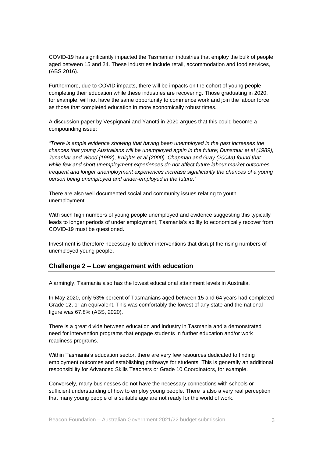COVID-19 has significantly impacted the Tasmanian industries that employ the bulk of people aged between 15 and 24. These industries include retail, accommodation and food services, (ABS 2016).

Furthermore, due to COVID impacts, there will be impacts on the cohort of young people completing their education while these industries are recovering. Those graduating in 2020, for example, will not have the same opportunity to commence work and join the labour force as those that completed education in more economically robust times.

A discussion paper by Vespignani and Yanotti in 2020 argues that this could become a compounding issue:

*"There is ample evidence showing that having been unemployed in the past increases the chances that young Australians will be unemployed again in the future; Dunsmuir et al (1989), Junankar and Wood (1992), Knights et al (2000). Chapman and Gray (2004a) found that while few and short unemployment experiences do not affect future labour market outcomes, frequent and longer unemployment experiences increase significantly the chances of a young person being unemployed and under-employed in the future*."

There are also well documented social and community issues relating to youth unemployment.

With such high numbers of young people unemployed and evidence suggesting this typically leads to longer periods of under employment, Tasmania's ability to economically recover from COVID-19 must be questioned.

Investment is therefore necessary to deliver interventions that disrupt the rising numbers of unemployed young people.

#### **Challenge 2 – Low engagement with education**

Alarmingly, Tasmania also has the lowest educational attainment levels in Australia.

In May 2020, only 53% percent of Tasmanians aged between 15 and 64 years had completed Grade 12, or an equivalent. This was comfortably the lowest of any state and the national figure was 67.8% (ABS, 2020).

There is a great divide between education and industry in Tasmania and a demonstrated need for intervention programs that engage students in further education and/or work readiness programs.

Within Tasmania's education sector, there are very few resources dedicated to finding employment outcomes and establishing pathways for students. This is generally an additional responsibility for Advanced Skills Teachers or Grade 10 Coordinators, for example.

Conversely, many businesses do not have the necessary connections with schools or sufficient understanding of how to employ young people. There is also a very real perception that many young people of a suitable age are not ready for the world of work.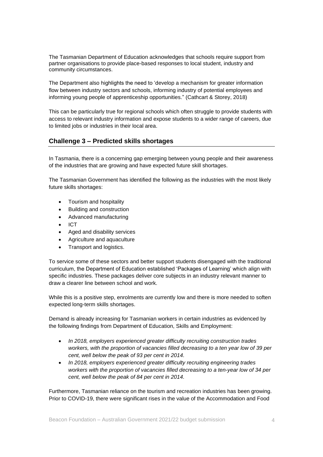The Tasmanian Department of Education acknowledges that schools require support from partner organisations to provide place-based responses to local student, industry and community circumstances.

The Department also highlights the need to 'develop a mechanism for greater information flow between industry sectors and schools, informing industry of potential employees and informing young people of apprenticeship opportunities." (Cathcart & Storey, 2018)

This can be particularly true for regional schools which often struggle to provide students with access to relevant industry information and expose students to a wider range of careers, due to limited jobs or industries in their local area.

#### **Challenge 3 – Predicted skills shortages**

In Tasmania, there is a concerning gap emerging between young people and their awareness of the industries that are growing and have expected future skill shortages.

The Tasmanian Government has identified the following as the industries with the most likely future skills shortages:

- Tourism and hospitality
- Building and construction
- Advanced manufacturing
- ICT
- Aged and disability services
- Agriculture and aquaculture
- Transport and logistics.

To service some of these sectors and better support students disengaged with the traditional curriculum, the Department of Education established 'Packages of Learning' which align with specific industries. These packages deliver core subjects in an industry relevant manner to draw a clearer line between school and work.

While this is a positive step, enrolments are currently low and there is more needed to soften expected long-term skills shortages.

Demand is already increasing for Tasmanian workers in certain industries as evidenced by the following findings from Department of Education, Skills and Employment:

- *In 2018, employers experienced greater difficulty recruiting construction trades workers, with the proportion of vacancies filled decreasing to a ten year low of 39 per cent, well below the peak of 93 per cent in 2014.*
- *In 2018, employers experienced greater difficulty recruiting engineering trades workers with the proportion of vacancies filled decreasing to a ten-year low of 34 per cent, well below the peak of 84 per cent in 2014.*

Furthermore, Tasmanian reliance on the tourism and recreation industries has been growing. Prior to COVID-19, there were significant rises in the value of the Accommodation and Food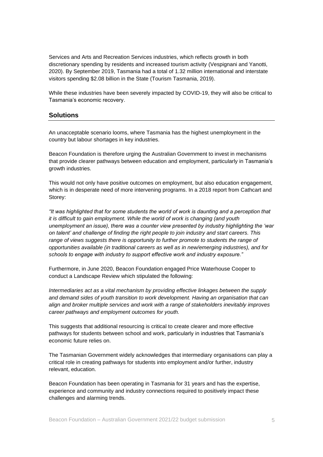Services and Arts and Recreation Services industries, which reflects growth in both discretionary spending by residents and increased tourism activity (Vespignani and Yanotti, 2020). By September 2019, Tasmania had a total of 1.32 million international and interstate visitors spending \$2.08 billion in the State (Tourism Tasmania, 2019).

While these industries have been severely impacted by COVID-19, they will also be critical to Tasmania's economic recovery.

#### **Solutions**

An unacceptable scenario looms, where Tasmania has the highest unemployment in the country but labour shortages in key industries.

Beacon Foundation is therefore urging the Australian Government to invest in mechanisms that provide clearer pathways between education and employment, particularly in Tasmania's growth industries.

This would not only have positive outcomes on employment, but also education engagement, which is in desperate need of more intervening programs. In a 2018 report from Cathcart and Storey:

*"It was highlighted that for some students the world of work is daunting and a perception that it is difficult to gain employment. While the world of work is changing (and youth unemployment an issue), there was a counter view presented by industry highlighting the 'war on talent' and challenge of finding the right people to join industry and start careers. This*  range of views suggests there is opportunity to further promote to students the range of *opportunities available (in traditional careers as well as in new/emerging industries), and for schools to engage with industry to support effective work and industry exposure."*

Furthermore, in June 2020, Beacon Foundation engaged Price Waterhouse Cooper to conduct a Landscape Review which stipulated the following:

*Intermediaries act as a vital mechanism by providing effective linkages between the supply and demand sides of youth transition to work development. Having an organisation that can align and broker multiple services and work with a range of stakeholders inevitably improves career pathways and employment outcomes for youth.*

This suggests that additional resourcing is critical to create clearer and more effective pathways for students between school and work, particularly in industries that Tasmania's economic future relies on.

The Tasmanian Government widely acknowledges that intermediary organisations can play a critical role in creating pathways for students into employment and/or further, industry relevant, education.

Beacon Foundation has been operating in Tasmania for 31 years and has the expertise, experience and community and industry connections required to positively impact these challenges and alarming trends.